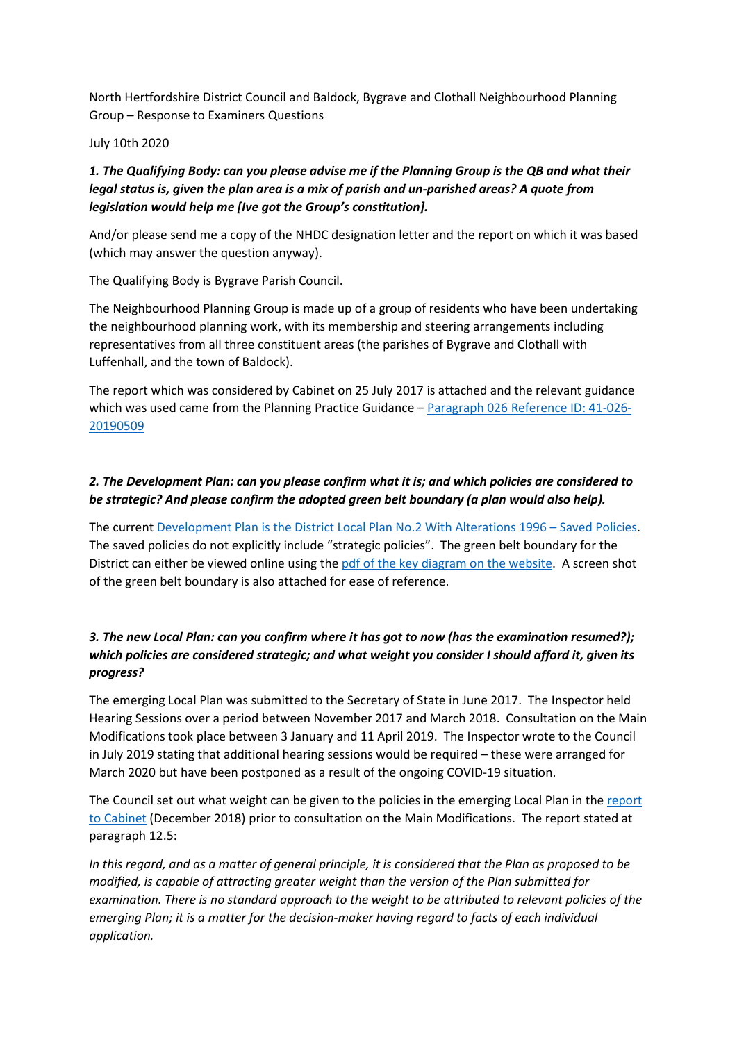North Hertfordshire District Council and Baldock, Bygrave and Clothall Neighbourhood Planning Group – Response to Examiners Questions

July 10th 2020

## 1. The Qualifying Body: can you please advise me if the Planning Group is the QB and what their legal status is, given the plan area is a mix of parish and un-parished areas? A quote from legislation would help me [Ive got the Group's constitution].

And/or please send me a copy of the NHDC designation letter and the report on which it was based (which may answer the question anyway).

The Qualifying Body is Bygrave Parish Council.

The Neighbourhood Planning Group is made up of a group of residents who have been undertaking the neighbourhood planning work, with its membership and steering arrangements including representatives from all three constituent areas (the parishes of Bygrave and Clothall with Luffenhall, and the town of Baldock).

The report which was considered by Cabinet on 25 July 2017 is attached and the relevant guidance which was used came from the Planning Practice Guidance – Paragraph 026 Reference ID: 41-026-20190509

## 2. The Development Plan: can you please confirm what it is; and which policies are considered to be strategic? And please confirm the adopted green belt boundary (a plan would also help).

The current Development Plan is the District Local Plan No.2 With Alterations 1996 – Saved Policies. The saved policies do not explicitly include "strategic policies". The green belt boundary for the District can either be viewed online using the pdf of the key diagram on the website. A screen shot of the green belt boundary is also attached for ease of reference.

# 3. The new Local Plan: can you confirm where it has got to now (has the examination resumed?); which policies are considered strategic; and what weight you consider I should afford it, given its progress?

The emerging Local Plan was submitted to the Secretary of State in June 2017. The Inspector held Hearing Sessions over a period between November 2017 and March 2018. Consultation on the Main Modifications took place between 3 January and 11 April 2019. The Inspector wrote to the Council in July 2019 stating that additional hearing sessions would be required – these were arranged for March 2020 but have been postponed as a result of the ongoing COVID-19 situation.

The Council set out what weight can be given to the policies in the emerging Local Plan in the report to Cabinet (December 2018) prior to consultation on the Main Modifications. The report stated at paragraph 12.5:

In this regard, and as a matter of general principle, it is considered that the Plan as proposed to be modified, is capable of attracting greater weight than the version of the Plan submitted for examination. There is no standard approach to the weight to be attributed to relevant policies of the emerging Plan; it is a matter for the decision-maker having regard to facts of each individual application.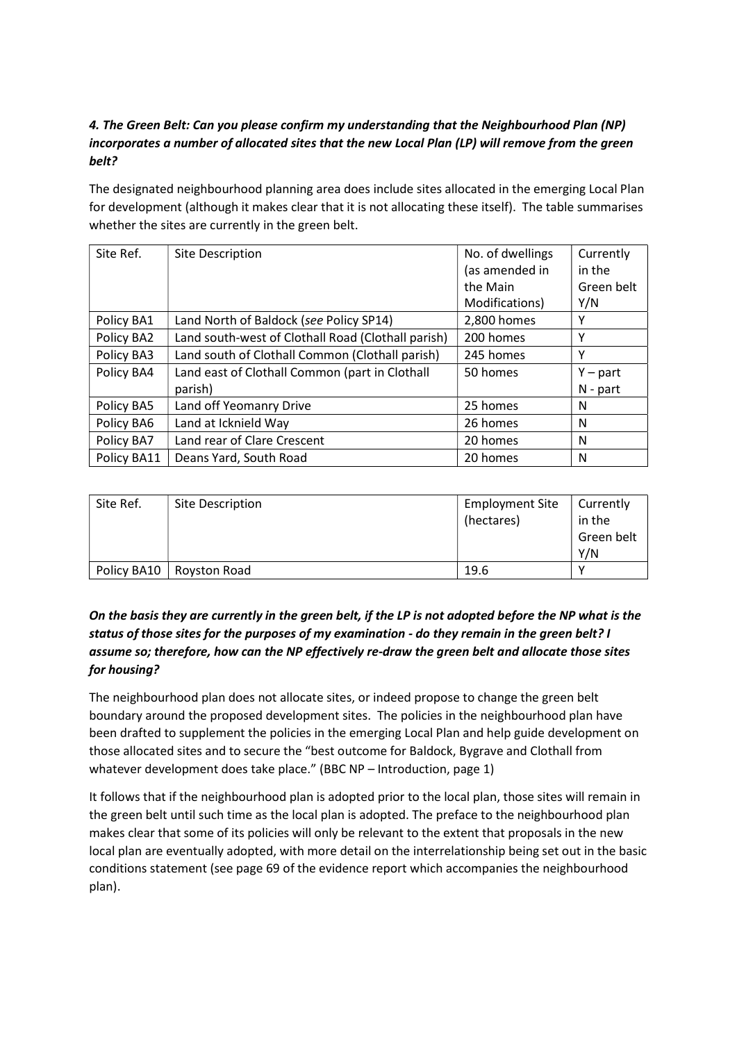# 4. The Green Belt: Can you please confirm my understanding that the Neighbourhood Plan (NP) incorporates a number of allocated sites that the new Local Plan (LP) will remove from the green belt?

The designated neighbourhood planning area does include sites allocated in the emerging Local Plan for development (although it makes clear that it is not allocating these itself). The table summarises whether the sites are currently in the green belt.

| Site Ref.   | Site Description                                   | No. of dwellings | Currently  |
|-------------|----------------------------------------------------|------------------|------------|
|             |                                                    | (as amended in   | in the     |
|             |                                                    | the Main         | Green belt |
|             |                                                    | Modifications)   | Y/N        |
| Policy BA1  | Land North of Baldock (see Policy SP14)            | 2,800 homes      | Υ          |
| Policy BA2  | Land south-west of Clothall Road (Clothall parish) | 200 homes        | Y          |
| Policy BA3  | Land south of Clothall Common (Clothall parish)    | 245 homes        | Υ          |
| Policy BA4  | Land east of Clothall Common (part in Clothall     | 50 homes         | $Y$ – part |
|             | parish)                                            |                  | $N - part$ |
| Policy BA5  | Land off Yeomanry Drive                            | 25 homes         | N          |
| Policy BA6  | Land at Icknield Way                               | 26 homes         | N          |
| Policy BA7  | Land rear of Clare Crescent                        | 20 homes         | N          |
| Policy BA11 | Deans Yard, South Road                             | 20 homes         | N          |

| Site Ref.   | Site Description | <b>Employment Site</b><br>(hectares) | Currently<br>in the<br>Green belt<br>Y/N |
|-------------|------------------|--------------------------------------|------------------------------------------|
| Policy BA10 | Royston Road     | 19.6                                 | v                                        |

# On the basis they are currently in the green belt, if the LP is not adopted before the NP what is the status of those sites for the purposes of my examination - do they remain in the green belt? I assume so; therefore, how can the NP effectively re-draw the green belt and allocate those sites for housing?

The neighbourhood plan does not allocate sites, or indeed propose to change the green belt boundary around the proposed development sites. The policies in the neighbourhood plan have been drafted to supplement the policies in the emerging Local Plan and help guide development on those allocated sites and to secure the "best outcome for Baldock, Bygrave and Clothall from whatever development does take place." (BBC NP – Introduction, page 1)

It follows that if the neighbourhood plan is adopted prior to the local plan, those sites will remain in the green belt until such time as the local plan is adopted. The preface to the neighbourhood plan makes clear that some of its policies will only be relevant to the extent that proposals in the new local plan are eventually adopted, with more detail on the interrelationship being set out in the basic conditions statement (see page 69 of the evidence report which accompanies the neighbourhood plan).